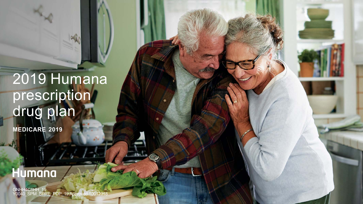# 2019 Humana prescription drug plan

**MEDICARE 2019**

## Humana

GNHH4C1HH\_19 Y0040\_SPM\_SPRE\_PDP\_19 Approved 10012018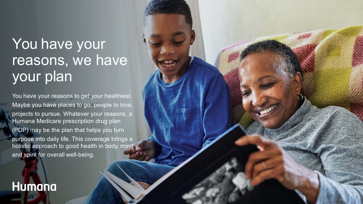# You have your reasons, we have your plan

You have your reasons to get your healthiest. Maybe you have places to go, people to love, projects to pursue. Whatever your reasons, a Humana Medicare prescription drug plan (PDP) may be the plan that helps you turn purpose into daily life. This coverage brings a holistic approach to good health in body, mind and spirit for overall well-being.

### **Humana**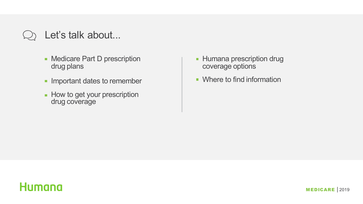### Let's talk about...

- **Medicare Part D prescription** drug plans
- **Important dates to remember**
- **How to get your prescription** drug coverage
- Humana prescription drug  $\blacksquare$ coverage options
- **Where to find information**

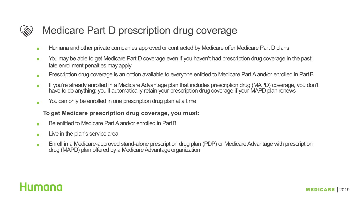

### Medicare Part D prescription drug coverage

- Humana and other private companies approved or contracted by Medicare offer Medicare Part D plans  $\overline{\phantom{a}}$
- You may be able to get Medicare Part D coverage even if you haven't had prescription drug coverage in the past;  $\mathbb{R}^n$ late enrollment penalties may apply
- Prescription drug coverage is an option available to everyone entitled to Medicare Part A and/or enrolled in PartB  $\overline{\phantom{a}}$
- If you're already enrolled in a Medicare Advantage plan that includes prescription drug (MAPD) coverage, you don't  $\overline{\phantom{a}}$ have to do anything; you'll automatically retain your prescription drug coverage if your MAPD plan renews
- You can only be enrolled in one prescription drug plan at a time  $\overline{\phantom{a}}$

#### **To get Medicare prescription drug coverage, you must:**

- Be entitled to Medicare Part A and/or enrolled in PartB  $\mathcal{L}_{\mathcal{A}}$
- Live in the plan's service area  $\overline{\phantom{a}}$
- Enroll in a Medicare-approved stand-alone prescription drug plan (PDP) or Medicare Advantage with prescription  $\overline{\phantom{a}}$ drug (MAPD) plan offered by a Medicare Advantage organization

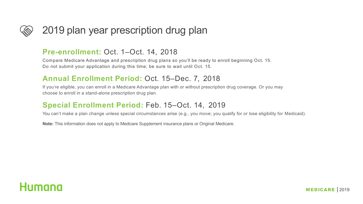

### 2019 plan year prescription drug plan

#### **Pre-enrollment:** Oct. 1–Oct. 14, 2018

Compare Medicare Advantage and prescription drug plans so you'll be ready to enroll beginning Oct. 15. Do not submit your application during this time; be sure to wait until Oct. 15.

#### **Annual Enrollment Period:** Oct. 15–Dec. 7, 2018

If you're eligible, you can enroll in a Medicare Advantage plan with or without prescription drug coverage. Or you may choose to enroll in a stand-alone prescription drug plan.

#### **Special Enrollment Period:** Feb. 15–Oct. 14, 2019

You can't make a plan change unless special circumstances arise (e.g., you move; you qualify for or lose eligibility for Medicaid).

**Note:** This information does not apply to Medicare Supplement insurance plans or Original Medicare.

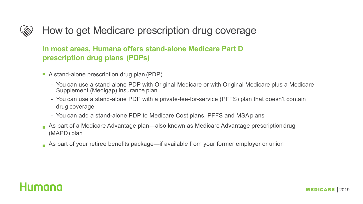### How to get Medicare prescription drug coverage

### **In most areas, Humana offers stand-alone Medicare Part D prescription drug plans (PDPs)**

- A stand-alone prescription drug plan (PDP)
	- You can use a stand-alone PDP with Original Medicare or with Original Medicare plus a Medicare Supplement (Medigap) insurance plan
	- You can use a stand-alone PDP with a private-fee-for-service (PFFS) plan that doesn't contain drug coverage
	- You can add a stand-alone PDP to Medicare Cost plans, PFFS and MSAplans
- As part of a Medicare Advantage plan—also known as Medicare Advantage prescription drug (MAPD) plan
- As part of your retiree benefits package—if available from your former employer or union

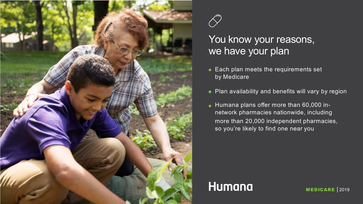



### You know your reasons, we have your plan

- Each plan meets the requirements set by Medicare
- **Plan availability and benefits will vary by region**
- Humana plans offer more than 60,000 innetwork pharmacies nationwide, including more than 20,000 independent pharmacies, so you're likely to find one near you

### **Humana**

MEDICARE | 2019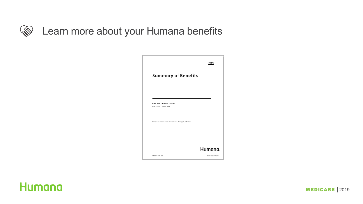

### Learn more about your Humana benefits

|                                                                | 2019            |
|----------------------------------------------------------------|-----------------|
| <b>Summary of Benefits</b>                                     |                 |
|                                                                |                 |
| Humana Enhanced (PDP)                                          |                 |
| Puerto Rico - Island Wide                                      |                 |
| Our service area includes the following state(s): Puerto Rico. |                 |
|                                                                |                 |
|                                                                |                 |
|                                                                | Humana.         |
| GNHH4HIEN_18                                                   | S2874001000SB18 |

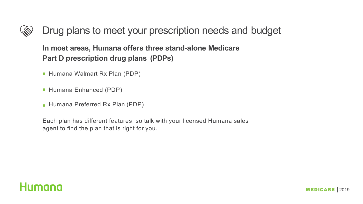### Drug plans to meet your prescription needs and budget

**In most areas, Humana offers three stand-alone Medicare Part D prescription drug plans (PDPs)**

- **Humana Walmart Rx Plan (PDP)**
- Humana Enhanced (PDP)
- Humana Preferred Rx Plan (PDP)

Each plan has different features, so talk with your licensed Humana sales agent to find the plan that is right for you.

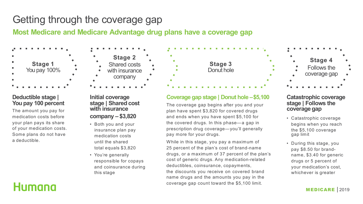### Getting through the coverage gap

**Most Medicare and Medicare Advantage drug plans have a coverage gap**



#### **Deductible stage | You pay 100 percent**

The amount you pay for medication costs before your plan pays its share of your medication costs. Some plans do not have a deductible.



#### **Initial coverage stage | Shared cost with insurance company – \$3,820**

- Both you and your insurance plan pay medication costs until the shared total equals \$3,820
- You're generally responsible for copays and coinsurance during this stage



#### **Coverage gap stage | Donut hole –\$5,100**

The coverage gap begins after you and your plan have spent \$3,820 for covered drugs and ends when you have spent \$5,100 for the covered drugs. In this phase—a gap in prescription drug coverage—you'll generally pay more for your drugs.

While in this stage, you pay a maximum of 25 percent of the plan's cost of brand-name drugs, or a maximum of 37 percent of the plan's cost of generic drugs. Any medication-related deductibles, coinsurance, copayments, the discounts you receive on covered brand name drugs and the amounts you pay in the coverage gap count toward the \$5,100 limit.



#### **Catastrophic coverage stage | Follows the coverage gap**

- Catastrophic coverage begins when you reach the \$5,100 coverage gap limit
- During this stage, you pay \$8.50 for brandname, \$3.40 for generic drugs or 5 percent of your medication's cost, whichever is greater

### **Humana**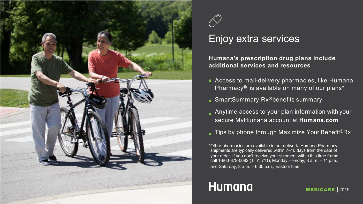



### Enjoy extra services

**Humana's prescription drug plans include additional services and resources**

- **Access to mail-delivery pharmacies, like Humana** Pharmacy®, is available on many of our plans\*
- SmartSummary Rx<sup>®</sup>benefits summary
- Anytime access to your plan information with your secure MyHumana account at **Humana.com**
- Tips by phone through Maximize Your Benefit<sup>®</sup>Rx

\*Other pharmacies are available in our network. Humana Pharmacy shipments are typically delivered within 7–10 days from the date of your order. If you don't receive your shipment within this time frame, call 1-800-379-0092 (TTY: 711), Monday – Friday, 8 a.m. – 11 p.m., and Saturday, 8 a.m. – 6:30 p.m., Eastern time.

## **Humana**

MEDICARE | 2019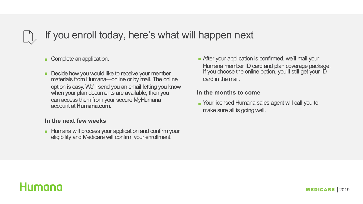### If you enroll today, here's what will happen next

Complete an application.

Decide how you would like to receive your member materials from Humana—online or by mail. The online option is easy. We'll send you an email letting you know when your plan documents are available, then you can access them from your secure MyHumana account at **Humana.com**.

#### **In the next few weeks**

**Humana will process your application and confirm your** eligibility and Medicare will confirm your enrollment.

**After your application is confirmed, we'll mail your** Humana member ID card and plan coverage package. If you choose the online option, you'll still get your ID card in themail.

#### **In the months to come**

Your licensed Humana sales agent will call you to make sure all is going well.

### Humana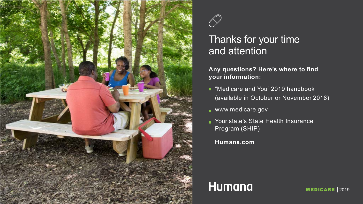



### Thanks for your time and attention

#### **Any questions? Here's where to find your information:**

- "Medicare and You" 2019 handbook (available in October or November 2018)
- www.medicare.gov
- **Nour state's State Health Insurance** Program (SHIP)
	- **Humana.com**

### **Humana**

MEDICARE | 2019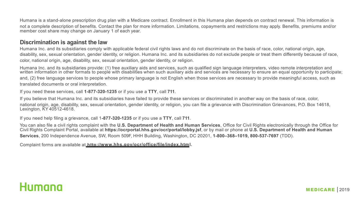Humana is a stand-alone prescription drug plan with a Medicare contract. Enrollment in this Humana plan depends on contract renewal. This information is not a complete description of benefits. Contact the plan for more information. Limitations, copayments and restrictions may apply. Benefits, premiums and/or member cost share may change on January 1 of each year.

#### **Discrimination is against the law**

Humana Inc. and its subsidiaries comply with applicable federal civil rights laws and do not discriminate on the basis of race, color, national origin, age, disability, sex, sexual orientation, gender identity, or religion. Humana Inc. and its subsidiaries do not exclude people or treat them differently because of race, color, national origin, age, disability, sex, sexual orientation, gender identity, or religion.

Humana Inc. and its subsidiaries provide: (1) free auxiliary aids and services, such as qualified sign language interpreters, video remote interpretation and written information in other formats to people with disabilities when such auxiliary aids and services are necessary to ensure an equal opportunity to participate; and, (2) free language services to people whose primary language is not English when those services are necessary to provide meaningful access, such as translated documents or oral interpretation.

If you need these services, call **1-877-320-1235** or if you use a **TTY**, call **711**.

If you believe that Humana Inc. and its subsidiaries have failed to provide these services or discriminated in another way on the basis of race, color, national origin, age, disability, sex, sexual orientation, gender identity, or religion, you can file a grievance with Discrimination Grievances, P.O. Box 14618, Lexington, KY 40512-4618.

If you need help filing a grievance, call 1**-877-320-1235** or if you use a **TTY**, call **711**.

You can also file a civil rights complaint with the **U.S. Department of Health and Human Services**, Office for Civil Rights electronically through the Office for Civil Rights Complaint Portal, available at **https://ocrportal.hhs.gov/ocr/portal/lobby.jsf**, or by mail or phone at **U.S. Department of Health and Human Services**, 200 Independence Avenue, SW, Room 509F, HHH Building, Washington, DC 20201, **1-800–368–1019, 800-537-7697** (TDD).

Complaint forms are available at **http://www.hhs.gov/ocr/office/file/index.html.**